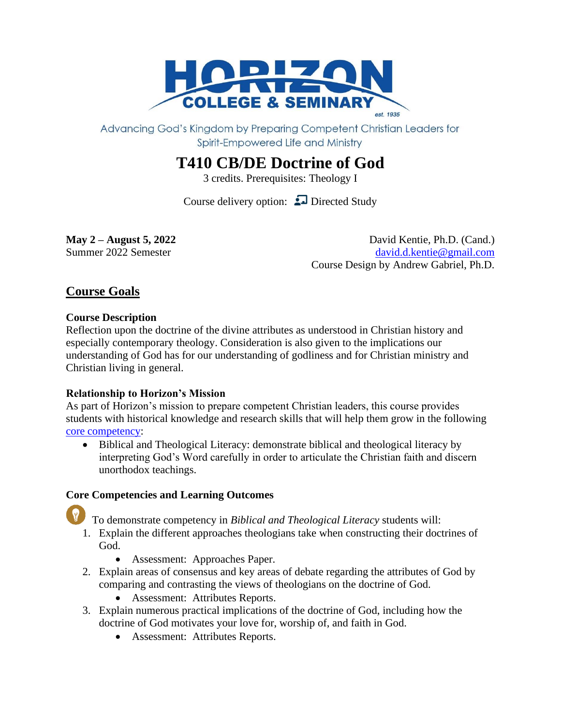

Advancing God's Kingdom by Preparing Competent Christian Leaders for Spirit-Empowered Life and Ministry

# **T410 CB/DE Doctrine of God**

3 credits. Prerequisites: Theology I

Course delivery option:  $\Box$  Directed Study

**May** 2 – **August 5, 2022** David Kentie, Ph.D. (Cand.) Summer 2022 Semester [david.d.kentie@gmail.com](mailto:david.d.kentie@gmail.com) Course Design by Andrew Gabriel, Ph.D.

# **Course Goals**

# **Course Description**

Reflection upon the doctrine of the divine attributes as understood in Christian history and especially contemporary theology. Consideration is also given to the implications our understanding of God has for our understanding of godliness and for Christian ministry and Christian living in general.

# **Relationship to Horizon's Mission**

As part of Horizon's mission to prepare competent Christian leaders, this course provides students with historical knowledge and research skills that will help them grow in the following [core competency:](http://www.horizon.edu/wp-content/uploads/2016/01/competency-wheel-with-icons-web.jpg)

• Biblical and Theological Literacy: demonstrate biblical and theological literacy by interpreting God's Word carefully in order to articulate the Christian faith and discern unorthodox teachings.

# **Core Competencies and Learning Outcomes**

To demonstrate competency in *Biblical and Theological Literacy* students will:

- 1. Explain the different approaches theologians take when constructing their doctrines of God.
	- Assessment: Approaches Paper.
- 2. Explain areas of consensus and key areas of debate regarding the attributes of God by comparing and contrasting the views of theologians on the doctrine of God.
	- Assessment: Attributes Reports.
- 3. Explain numerous practical implications of the doctrine of God, including how the doctrine of God motivates your love for, worship of, and faith in God.
	- Assessment: Attributes Reports.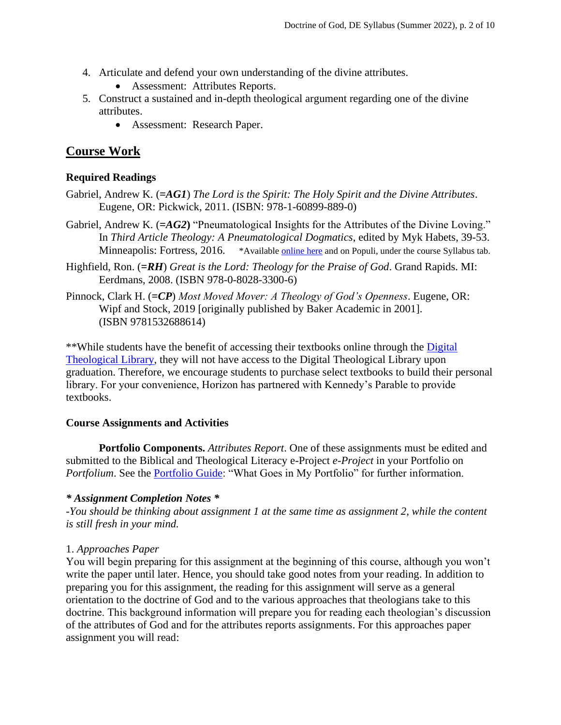- 4. Articulate and defend your own understanding of the divine attributes.
	- Assessment: Attributes Reports.
- 5. Construct a sustained and in-depth theological argument regarding one of the divine attributes.
	- Assessment: Research Paper.

# **Course Work**

#### **Required Readings**

- Gabriel, Andrew K. (**=***AG1*) *The Lord is the Spirit: The Holy Spirit and the Divine Attributes*. Eugene, OR: Pickwick, 2011. (ISBN: 978-1-60899-889-0)
- Gabriel, Andrew K. (**=***AG2***)** "Pneumatological Insights for the Attributes of the Divine Loving." In *Third Article Theology: A Pneumatological Dogmatics*, edited by Myk Habets, 39-53. Minneapolis: Fortress, 2016. \*Available [online here](https://books.google.ca/books?id=qVAKDQAAQBAJ&lpg=PR1&dq=Third%20Article%20Theology%3A%20A%20Pneumatological%20Dogmatics&pg=PA39#v=onepage&q&f=false) and on Populi, under the course Syllabus tab.
- Highfield, Ron. (**=***RH*) *Great is the Lord: Theology for the Praise of God*. Grand Rapids. MI: Eerdmans, 2008. (ISBN 978-0-8028-3300-6)
- Pinnock, Clark H. (**=***CP*) *Most Moved Mover: A Theology of God's Openness*. Eugene, OR: Wipf and Stock, 2019 [originally published by Baker Academic in 2001]. (ISBN 9781532688614)

\*\*While students have the benefit of accessing their textbooks online through the [Digital](https://libguides.thedtl.org/home)  [Theological Library,](https://libguides.thedtl.org/home) they will not have access to the Digital Theological Library upon graduation. Therefore, we encourage students to purchase select textbooks to build their personal library. For your convenience, Horizon has partnered with Kennedy's Parable to provide textbooks.

#### **Course Assignments and Activities**

**Portfolio Components.** *Attributes Report*. One of these assignments must be edited and submitted to the Biblical and Theological Literacy e-Project *e-Project* in your Portfolio on *Portfolium*. See the **Portfolio Guide:** "What Goes in My Portfolio" for further information.

#### *\* Assignment Completion Notes \**

*-You should be thinking about assignment 1 at the same time as assignment 2, while the content is still fresh in your mind.*

#### 1. *Approaches Paper*

You will begin preparing for this assignment at the beginning of this course, although you won't write the paper until later. Hence, you should take good notes from your reading. In addition to preparing you for this assignment, the reading for this assignment will serve as a general orientation to the doctrine of God and to the various approaches that theologians take to this doctrine. This background information will prepare you for reading each theologian's discussion of the attributes of God and for the attributes reports assignments. For this approaches paper assignment you will read: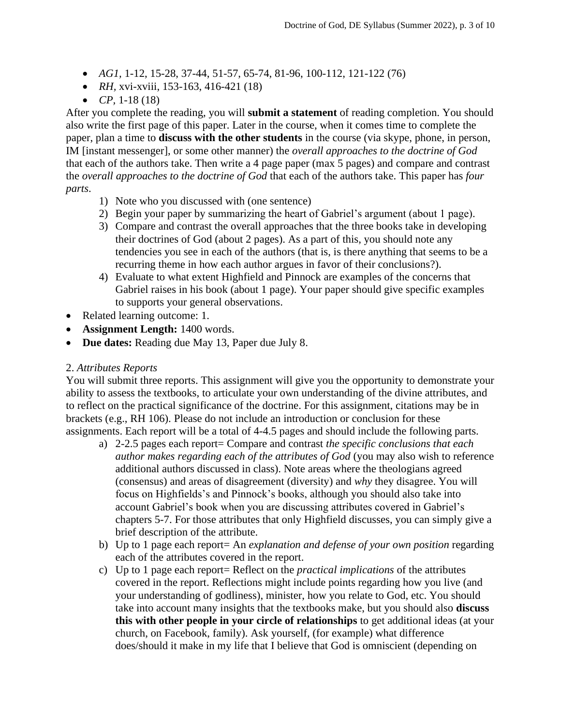- *AG1,* 1-12, 15-28, 37-44, 51-57, 65-74, 81-96, 100-112, 121-122 (76)
- *RH*, xvi-xviii, 153-163, 416-421 (18)
- *CP,* 1-18 (18)

After you complete the reading, you will **submit a statement** of reading completion. You should also write the first page of this paper. Later in the course, when it comes time to complete the paper, plan a time to **discuss with the other students** in the course (via skype, phone, in person, IM [instant messenger], or some other manner) the *overall approaches to the doctrine of God* that each of the authors take. Then write a 4 page paper (max 5 pages) and compare and contrast the *overall approaches to the doctrine of God* that each of the authors take. This paper has *four parts*.

- 1) Note who you discussed with (one sentence)
- 2) Begin your paper by summarizing the heart of Gabriel's argument (about 1 page).
- 3) Compare and contrast the overall approaches that the three books take in developing their doctrines of God (about 2 pages). As a part of this, you should note any tendencies you see in each of the authors (that is, is there anything that seems to be a recurring theme in how each author argues in favor of their conclusions?).
- 4) Evaluate to what extent Highfield and Pinnock are examples of the concerns that Gabriel raises in his book (about 1 page). Your paper should give specific examples to supports your general observations.
- Related learning outcome: 1.
- **Assignment Length:** 1400 words.
- **Due dates:** Reading due May 13, Paper due July 8.

#### 2. *Attributes Reports*

You will submit three reports. This assignment will give you the opportunity to demonstrate your ability to assess the textbooks, to articulate your own understanding of the divine attributes, and to reflect on the practical significance of the doctrine. For this assignment, citations may be in brackets (e.g., RH 106). Please do not include an introduction or conclusion for these assignments. Each report will be a total of 4-4.5 pages and should include the following parts.

- a) 2-2.5 pages each report= Compare and contrast *the specific conclusions that each author makes regarding each of the attributes of God* (you may also wish to reference additional authors discussed in class). Note areas where the theologians agreed (consensus) and areas of disagreement (diversity) and *why* they disagree. You will focus on Highfields's and Pinnock's books, although you should also take into account Gabriel's book when you are discussing attributes covered in Gabriel's chapters 5-7. For those attributes that only Highfield discusses, you can simply give a brief description of the attribute.
- b) Up to 1 page each report= An *explanation and defense of your own position* regarding each of the attributes covered in the report.
- c) Up to 1 page each report= Reflect on the *practical implications* of the attributes covered in the report. Reflections might include points regarding how you live (and your understanding of godliness), minister, how you relate to God, etc. You should take into account many insights that the textbooks make, but you should also **discuss this with other people in your circle of relationships** to get additional ideas (at your church, on Facebook, family). Ask yourself, (for example) what difference does/should it make in my life that I believe that God is omniscient (depending on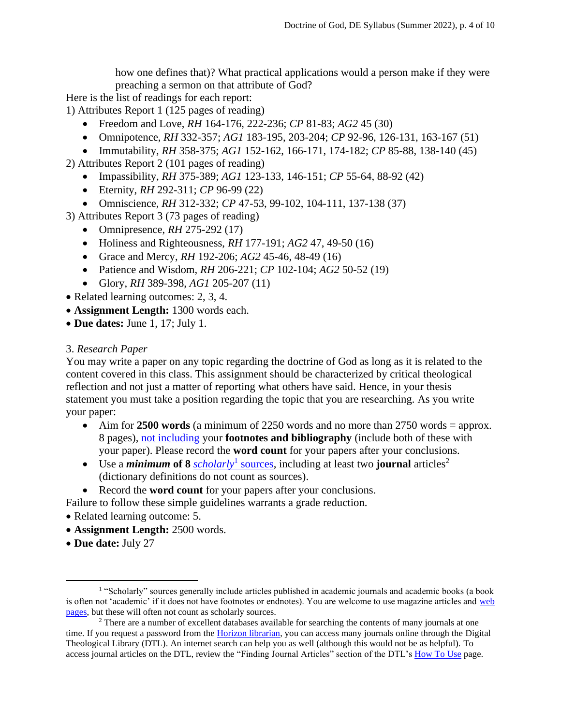how one defines that)? What practical applications would a person make if they were preaching a sermon on that attribute of God?

Here is the list of readings for each report:

1) Attributes Report 1 (125 pages of reading)

- Freedom and Love, *RH* 164-176, 222-236; *CP* 81-83; *AG2* 45 (30)
- Omnipotence, *RH* 332-357; *AG1* 183-195, 203-204; *CP* 92-96, 126-131, 163-167 (51)
- Immutability, *RH* 358-375; *AG1* 152-162, 166-171, 174-182; *CP* 85-88, 138-140 (45)

2) Attributes Report 2 (101 pages of reading)

- Impassibility, *RH* 375-389; *AG1* 123-133, 146-151; *CP* 55-64, 88-92 (42)
- Eternity, *RH* 292-311; *CP* 96-99 (22)
- Omniscience, *RH* 312-332; *CP* 47-53, 99-102, 104-111, 137-138 (37)
- 3) Attributes Report 3 (73 pages of reading)
	- Omnipresence, *RH* 275-292 (17)
	- Holiness and Righteousness, *RH* 177-191; *AG2* 47, 49-50 (16)
	- Grace and Mercy, *RH* 192-206; *AG2* 45-46, 48-49 (16)
	- Patience and Wisdom, *RH* 206-221; *CP* 102-104; *AG2* 50-52 (19)
	- Glory, *RH* 389-398, *AG1* 205-207 (11)
- Related learning outcomes: 2, 3, 4.
- **Assignment Length:** 1300 words each.
- **Due dates:** June 1, 17; July 1.

#### 3. *Research Paper*

You may write a paper on any topic regarding the doctrine of God as long as it is related to the content covered in this class. This assignment should be characterized by critical theological reflection and not just a matter of reporting what others have said. Hence, in your thesis statement you must take a position regarding the topic that you are researching. As you write your paper:

- Aim for **2500 words** (a minimum of 2250 words and no more than 2750 words = approx. 8 pages), [not including](http://screencast.com/t/k2TpJss0PEu) your **footnotes and bibliography** (include both of these with your paper). Please record the **word count** for your papers after your conclusions.
- Use a *minimum* of 8 *[scholarly](https://guides.library.ucmo.edu/popularlvsscholarly#:~:text=A%20scholarly%20(or%20academic)%20resource,newspaper%20is%20a%20popular%20resource.&text=Databases%20usually%20have%20some%20mechanism,%2C%20or%20peer%20reviewed%2C%20articles.)*<sup>1</sup> sources, including at least two **journal** articles<sup>2</sup> (dictionary definitions do not count as sources).
- Record the **word count** for your papers after your conclusions.

Failure to follow these simple guidelines warrants a grade reduction.

- Related learning outcome: 5.
- **Assignment Length:** 2500 words.
- **Due date:** July 27

<sup>&</sup>lt;sup>1</sup> "Scholarly" sources generally include articles published in academic journals and academic books (a book is often not 'academic' if it does not have footnotes or endnotes). You are welcome to use magazine articles and [web](http://guides.theology.library.emory.edu/content.php?pid=67343&sid=497415)  [pages,](http://guides.theology.library.emory.edu/content.php?pid=67343&sid=497415) but these will often not count as scholarly sources.

<sup>&</sup>lt;sup>2</sup> There are a number of excellent databases available for searching the contents of many journals at one time. If you request a password from th[e Horizon librarian,](mailto:library@horizon.edu) you can access many journals online through the Digital Theological Library (DTL). An internet search can help you as well (although this would not be as helpful). To access journal articles on the DTL, review the "Finding Journal Articles" section of the DTL'[s How To Use](https://libguides.thedtl.org/howtouse) page.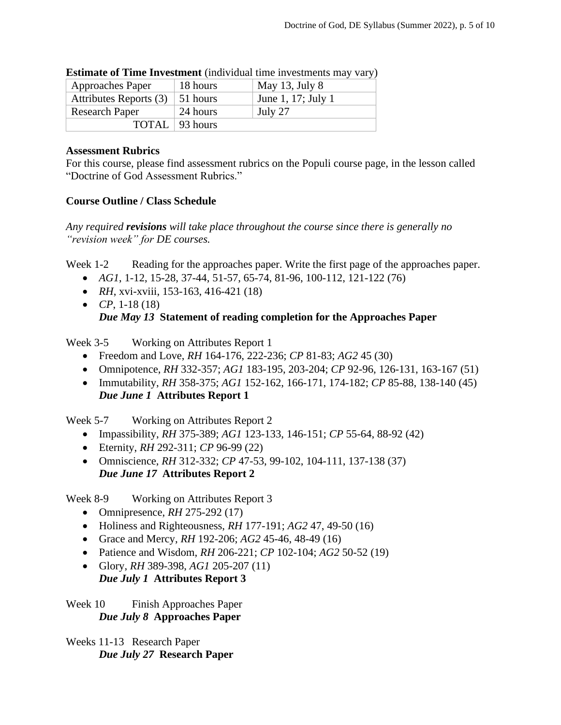|                       | <b>Extending of Thine Investment</b> (included this investments independent |                  |                    |  |  |  |  |
|-----------------------|-----------------------------------------------------------------------------|------------------|--------------------|--|--|--|--|
|                       | <b>Approaches Paper</b>                                                     | 18 hours         | May 13, July 8     |  |  |  |  |
|                       | Attributes Reports (3)                                                      | 51 hours         | June 1, 17; July 1 |  |  |  |  |
| <b>Research Paper</b> |                                                                             | 24 hours         | July 27            |  |  |  |  |
|                       |                                                                             | TOTAL   93 hours |                    |  |  |  |  |

| <b>Estimate of Time Investment</b> (individual time investments may vary) |  |  |  |
|---------------------------------------------------------------------------|--|--|--|
|                                                                           |  |  |  |

### **Assessment Rubrics**

For this course, please find assessment rubrics on the Populi course page, in the lesson called "Doctrine of God Assessment Rubrics."

# **Course Outline / Class Schedule**

*Any required revisions will take place throughout the course since there is generally no "revision week" for DE courses.*

Week 1-2 Reading for the approaches paper. Write the first page of the approaches paper.

- *AG1*, 1-12, 15-28, 37-44, 51-57, 65-74, 81-96, 100-112, 121-122 (76)
- *RH*, xvi-xviii, 153-163, 416-421 (18)
- *CP*, 1-18 (18) *Due May 13* **Statement of reading completion for the Approaches Paper**

Week 3-5 Working on Attributes Report 1

- Freedom and Love, *RH* 164-176, 222-236; *CP* 81-83; *AG2* 45 (30)
- Omnipotence, *RH* 332-357; *AG1* 183-195, 203-204; *CP* 92-96, 126-131, 163-167 (51)
- Immutability, *RH* 358-375; *AG1* 152-162, 166-171, 174-182; *CP* 85-88, 138-140 (45) *Due June 1* **Attributes Report 1**

Week 5-7 Working on Attributes Report 2

- Impassibility, *RH* 375-389; *AG1* 123-133, 146-151; *CP* 55-64, 88-92 (42)
- Eternity, *RH* 292-311; *CP* 96-99 (22)
- Omniscience, *RH* 312-332; *CP* 47-53, 99-102, 104-111, 137-138 (37) *Due June 17* **Attributes Report 2**

Week 8-9 Working on Attributes Report 3

- Omnipresence, *RH* 275-292 (17)
- Holiness and Righteousness, *RH* 177-191; *AG2* 47, 49-50 (16)
- Grace and Mercy, *RH* 192-206; *AG2* 45-46, 48-49 (16)
- Patience and Wisdom, *RH* 206-221; *CP* 102-104; *AG2* 50-52 (19)
- Glory, *RH* 389-398, *AG1* 205-207 (11)

# *Due July 1* **Attributes Report 3**

Week 10 Finish Approaches Paper *Due July 8* **Approaches Paper**

Weeks 11-13 Research Paper *Due July 27* **Research Paper**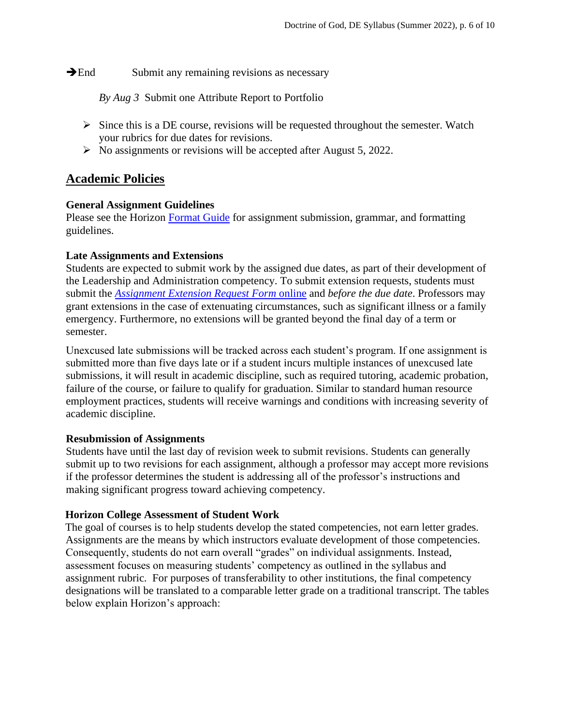**→End** Submit any remaining revisions as necessary

*By Aug 3* Submit one Attribute Report to Portfolio

- $\triangleright$  Since this is a DE course, revisions will be requested throughout the semester. Watch your rubrics for due dates for revisions.
- ➢ No assignments or revisions will be accepted after August 5, 2022.

# **Academic Policies**

#### **General Assignment Guidelines**

Please see the Horizon [Format Guide](https://www.horizon.edu/students/resources/) for assignment submission, grammar, and formatting guidelines.

#### **Late Assignments and Extensions**

Students are expected to submit work by the assigned due dates, as part of their development of the Leadership and Administration competency. To submit extension requests, students must submit the *[Assignment Extension Request Form](https://horizon.edu/forms/student/)* online and *before the due date*. Professors may grant extensions in the case of extenuating circumstances, such as significant illness or a family emergency. Furthermore, no extensions will be granted beyond the final day of a term or semester.

Unexcused late submissions will be tracked across each student's program. If one assignment is submitted more than five days late or if a student incurs multiple instances of unexcused late submissions, it will result in academic discipline, such as required tutoring, academic probation, failure of the course, or failure to qualify for graduation. Similar to standard human resource employment practices, students will receive warnings and conditions with increasing severity of academic discipline.

#### **Resubmission of Assignments**

Students have until the last day of revision week to submit revisions. Students can generally submit up to two revisions for each assignment, although a professor may accept more revisions if the professor determines the student is addressing all of the professor's instructions and making significant progress toward achieving competency.

# **Horizon College Assessment of Student Work**

The goal of courses is to help students develop the stated competencies, not earn letter grades. Assignments are the means by which instructors evaluate development of those competencies. Consequently, students do not earn overall "grades" on individual assignments. Instead, assessment focuses on measuring students' competency as outlined in the syllabus and assignment rubric. For purposes of transferability to other institutions, the final competency designations will be translated to a comparable letter grade on a traditional transcript. The tables below explain Horizon's approach: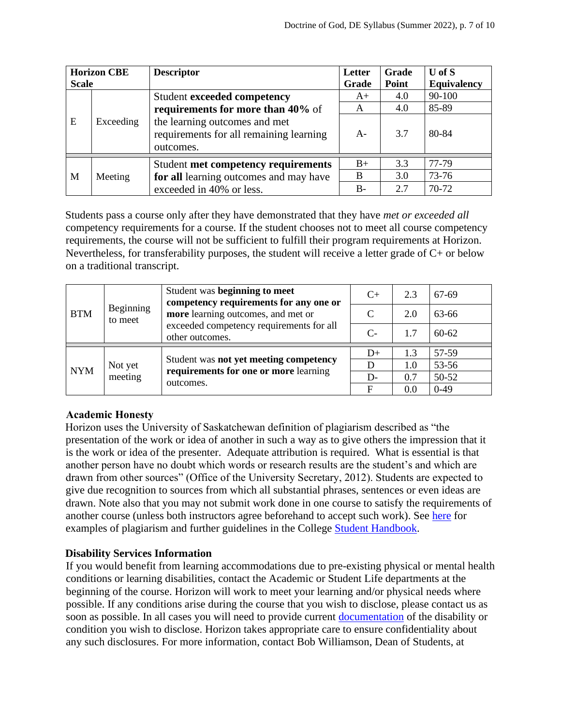| <b>Horizon CBE</b><br><b>Scale</b> |           | <b>Descriptor</b>                                                                     | Letter<br>Grade | Grade<br>Point | $U$ of $S$<br><b>Equivalency</b> |
|------------------------------------|-----------|---------------------------------------------------------------------------------------|-----------------|----------------|----------------------------------|
|                                    | Exceeding | <b>Student exceeded competency</b>                                                    | $A+$            | 4.0            | 90-100                           |
|                                    |           | requirements for more than 40% of                                                     | A               | 4.0            | 85-89                            |
| E                                  |           | the learning outcomes and met<br>requirements for all remaining learning<br>outcomes. | $A-$            | 3.7            | 80-84                            |
|                                    | Meeting   | Student met competency requirements<br>for all learning outcomes and may have         | $B+$            | 3.3            | 77-79                            |
| M                                  |           |                                                                                       | B               | 3.0            | 73-76                            |
|                                    |           | exceeded in 40% or less.                                                              | $B-$            | 2.7            | 70-72                            |

Students pass a course only after they have demonstrated that they have *met or exceeded all*  competency requirements for a course. If the student chooses not to meet all course competency requirements, the course will not be sufficient to fulfill their program requirements at Horizon. Nevertheless, for transferability purposes, the student will receive a letter grade of C+ or below on a traditional transcript.

|            | Beginning<br>to meet | Student was beginning to meet<br>competency requirements for any one or<br>more learning outcomes, and met or<br>exceeded competency requirements for all<br>other outcomes. | $C+$ | 2.3 | 67-69     |
|------------|----------------------|------------------------------------------------------------------------------------------------------------------------------------------------------------------------------|------|-----|-----------|
| <b>BTM</b> |                      |                                                                                                                                                                              | C    | 2.0 | 63-66     |
|            |                      |                                                                                                                                                                              | $C-$ | 1.7 | $60 - 62$ |
|            | Not yet<br>meeting   | Student was not yet meeting competency<br>requirements for one or more learning<br>outcomes.                                                                                 | $D+$ | 1.3 | 57-59     |
| <b>NYM</b> |                      |                                                                                                                                                                              | D    | 1.0 | 53-56     |
|            |                      |                                                                                                                                                                              | $D-$ | 0.7 | 50-52     |
|            |                      |                                                                                                                                                                              |      | 0.0 | $0-49$    |

# **Academic Honesty**

Horizon uses the University of Saskatchewan definition of plagiarism described as "the presentation of the work or idea of another in such a way as to give others the impression that it is the work or idea of the presenter. Adequate attribution is required. What is essential is that another person have no doubt which words or research results are the student's and which are drawn from other sources" (Office of the University Secretary, 2012). Students are expected to give due recognition to sources from which all substantial phrases, sentences or even ideas are drawn. Note also that you may not submit work done in one course to satisfy the requirements of another course (unless both instructors agree beforehand to accept such work). See [here](http://www.turnitin.com/assets/en_us/media/plagiarism_spectrum.php) for examples of plagiarism and further guidelines in the College [Student Handbook.](https://www.horizon.edu/students/resources/)

# **Disability Services Information**

If you would benefit from learning accommodations due to pre-existing physical or mental health conditions or learning disabilities, contact the Academic or Student Life departments at the beginning of the course. Horizon will work to meet your learning and/or physical needs where possible. If any conditions arise during the course that you wish to disclose, please contact us as soon as possible. In all cases you will need to provide current [documentation](https://www.horizon.edu/students/support/) of the disability or condition you wish to disclose. Horizon takes appropriate care to ensure confidentiality about any such disclosures. For more information, contact Bob Williamson, Dean of Students, at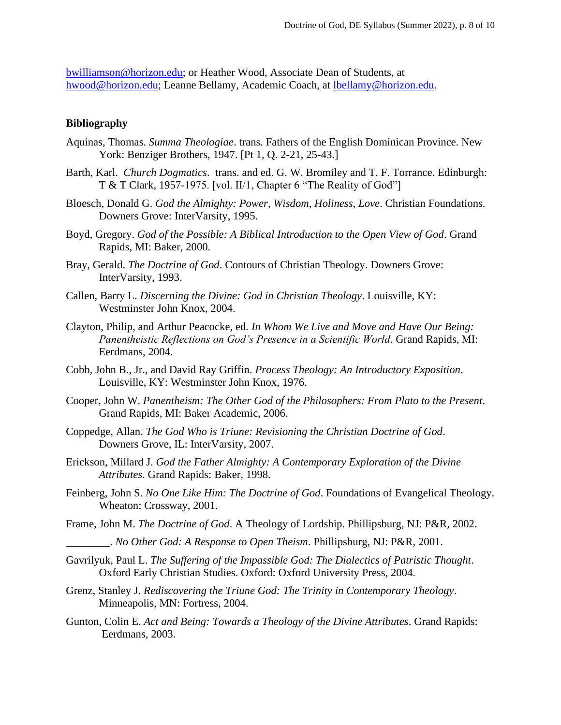[bwilliamson@horizon.edu;](mailto:bwilliamson@horizon.edu) or Heather Wood, Associate Dean of Students, at [hwood@horizon.edu;](mailto:hwood@horizon.edu) Leanne Bellamy, Academic Coach, at [lbellamy@horizon.edu.](mailto:lbellamy@horizon.edu)

#### **Bibliography**

- Aquinas, Thomas. *Summa Theologiae*. trans. Fathers of the English Dominican Province. New York: Benziger Brothers, 1947. [Pt 1, Q. 2-21, 25-43.]
- Barth, Karl. *Church Dogmatics*. trans. and ed. G. W. Bromiley and T. F. Torrance. Edinburgh: T & T Clark, 1957-1975. [vol. II/1, Chapter 6 "The Reality of God"]
- Bloesch, Donald G. *God the Almighty: Power, Wisdom, Holiness, Love*. Christian Foundations. Downers Grove: InterVarsity, 1995.
- Boyd, Gregory. *God of the Possible: A Biblical Introduction to the Open View of God*. Grand Rapids, MI: Baker, 2000.
- Bray, Gerald. *The Doctrine of God*. Contours of Christian Theology. Downers Grove: InterVarsity, 1993.
- Callen, Barry L. *Discerning the Divine: God in Christian Theology*. Louisville, KY: Westminster John Knox, 2004.
- Clayton, Philip, and Arthur Peacocke, ed. *In Whom We Live and Move and Have Our Being: Panentheistic Reflections on God's Presence in a Scientific World*. Grand Rapids, MI: Eerdmans, 2004.
- Cobb, John B., Jr., and David Ray Griffin. *Process Theology: An Introductory Exposition*. Louisville, KY: Westminster John Knox, 1976.
- Cooper, John W. *Panentheism: The Other God of the Philosophers: From Plato to the Present*. Grand Rapids, MI: Baker Academic, 2006.
- Coppedge, Allan. *The God Who is Triune: Revisioning the Christian Doctrine of God*. Downers Grove, IL: InterVarsity, 2007.
- Erickson, Millard J. *God the Father Almighty: A Contemporary Exploration of the Divine Attributes*. Grand Rapids: Baker, 1998.
- Feinberg, John S. *No One Like Him: The Doctrine of God*. Foundations of Evangelical Theology. Wheaton: Crossway, 2001.
- Frame, John M. *The Doctrine of God*. A Theology of Lordship. Phillipsburg, NJ: P&R, 2002.
	- \_\_\_\_\_\_\_\_. *No Other God: A Response to Open Theism*. Phillipsburg, NJ: P&R, 2001.
- Gavrilyuk, Paul L. *The Suffering of the Impassible God: The Dialectics of Patristic Thought*. Oxford Early Christian Studies. Oxford: Oxford University Press, 2004.
- Grenz, Stanley J. *Rediscovering the Triune God: The Trinity in Contemporary Theology*. Minneapolis, MN: Fortress, 2004.
- Gunton, Colin E. *Act and Being: Towards a Theology of the Divine Attributes*. Grand Rapids: Eerdmans, 2003.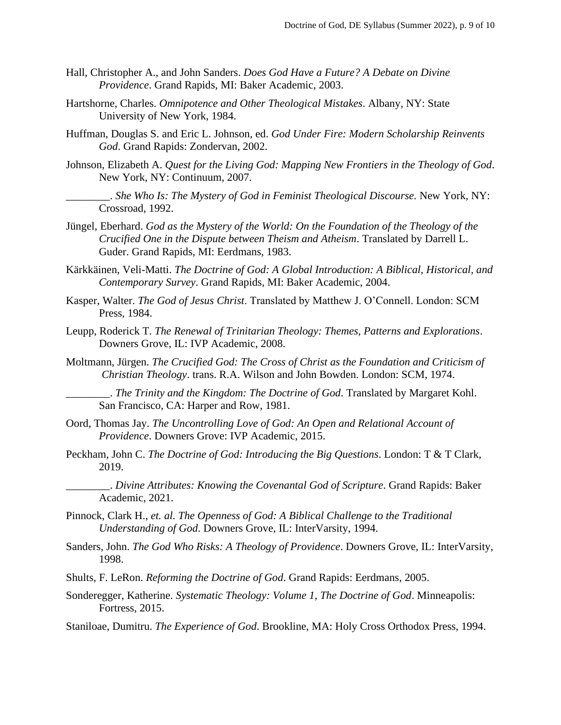- Hall, Christopher A., and John Sanders. *Does God Have a Future? A Debate on Divine Providence*. Grand Rapids, MI: Baker Academic, 2003.
- Hartshorne, Charles. *Omnipotence and Other Theological Mistakes*. Albany, NY: State University of New York, 1984.
- Huffman, Douglas S. and Eric L. Johnson, ed. *God Under Fire: Modern Scholarship Reinvents God*. Grand Rapids: Zondervan, 2002.
- Johnson, Elizabeth A. *Quest for the Living God: Mapping New Frontiers in the Theology of God*. New York, NY: Continuum, 2007.
- \_\_\_\_\_\_\_\_. *She Who Is: The Mystery of God in Feminist Theological Discourse.* New York, NY: Crossroad, 1992.
- Jüngel, Eberhard. *God as the Mystery of the World: On the Foundation of the Theology of the Crucified One in the Dispute between Theism and Atheism*. Translated by Darrell L. Guder. Grand Rapids, MI: Eerdmans, 1983.
- Kärkkäinen, Veli-Matti. *The Doctrine of God: A Global Introduction: A Biblical, Historical, and Contemporary Survey*. Grand Rapids, MI: Baker Academic, 2004.
- Kasper, Walter. *The God of Jesus Christ*. Translated by Matthew J. O'Connell. London: SCM Press, 1984.
- Leupp, Roderick T. *The Renewal of Trinitarian Theology: Themes, Patterns and Explorations*. Downers Grove, IL: IVP Academic, 2008.
- Moltmann, Jürgen. *The Crucified God: The Cross of Christ as the Foundation and Criticism of Christian Theology*. trans. R.A. Wilson and John Bowden. London: SCM, 1974.

\_\_\_\_\_\_\_\_. *The Trinity and the Kingdom: The Doctrine of God*. Translated by Margaret Kohl. San Francisco, CA: Harper and Row, 1981.

- Oord, Thomas Jay. *The Uncontrolling Love of God: An Open and Relational Account of Providence*. Downers Grove: IVP Academic, 2015.
- Peckham, John C. *The Doctrine of God: Introducing the Big Questions*. London: T & T Clark, 2019.
	- \_\_\_\_\_\_\_\_. *Divine Attributes: Knowing the Covenantal God of Scripture*. Grand Rapids: Baker Academic, 2021.
- Pinnock, Clark H., *et. al. The Openness of God: A Biblical Challenge to the Traditional Understanding of God*. Downers Grove, IL: InterVarsity, 1994.
- Sanders, John. *The God Who Risks: A Theology of Providence*. Downers Grove, IL: InterVarsity, 1998.
- Shults, F. LeRon. *Reforming the Doctrine of God*. Grand Rapids: Eerdmans, 2005.

Sonderegger, Katherine. *Systematic Theology: Volume 1, The Doctrine of God*. Minneapolis: Fortress, 2015.

Staniloae, Dumitru. *The Experience of God*. Brookline, MA: Holy Cross Orthodox Press, 1994.